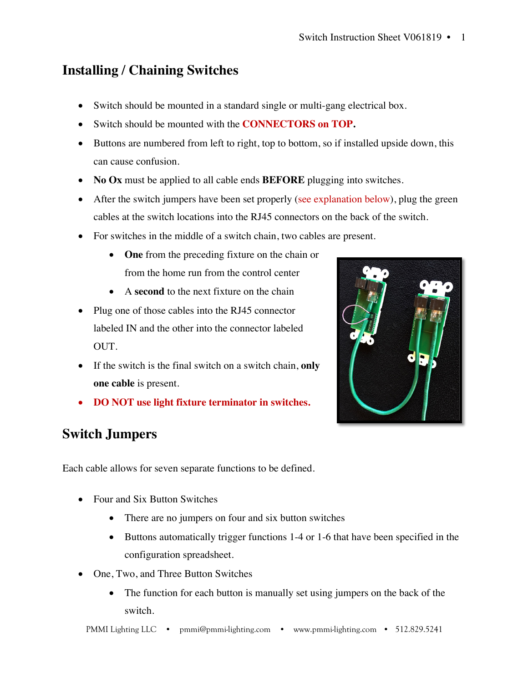## **Installing / Chaining Switches**

- Switch should be mounted in a standard single or multi-gang electrical box.
- Switch should be mounted with the **CONNECTORS on TOP.**
- Buttons are numbered from left to right, top to bottom, so if installed upside down, this can cause confusion.
- **No Ox** must be applied to all cable ends **BEFORE** plugging into switches.
- After the switch jumpers have been set properly (see explanation below), plug the green cables at the switch locations into the RJ45 connectors on the back of the switch.
- For switches in the middle of a switch chain, two cables are present.
	- **One** from the preceding fixture on the chain or from the home run from the control center
	- A **second** to the next fixture on the chain
- Plug one of those cables into the RJ45 connector labeled IN and the other into the connector labeled OUT.
- If the switch is the final switch on a switch chain, **only one cable** is present.
- **DO NOT use light fixture terminator in switches.**



Each cable allows for seven separate functions to be defined.

- Four and Six Button Switches
	- There are no jumpers on four and six button switches
	- Buttons automatically trigger functions 1-4 or 1-6 that have been specified in the configuration spreadsheet.
- One, Two, and Three Button Switches
	- The function for each button is manually set using jumpers on the back of the switch.